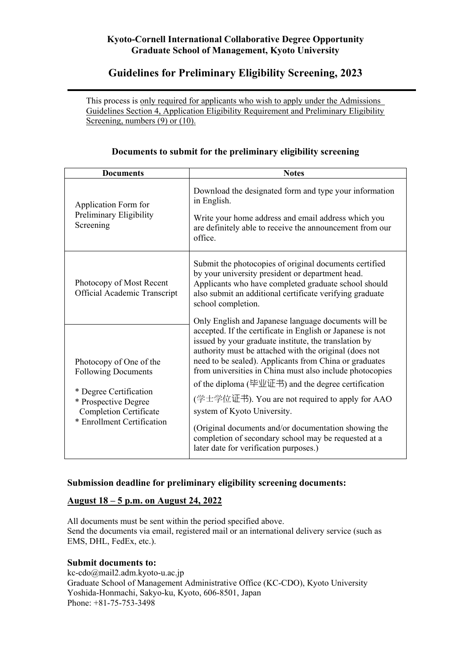## **Kyoto-Cornell International Collaborative Degree Opportunity Graduate School of Management, Kyoto University**

# **Guidelines for Preliminary Eligibility Screening, 2023**

This process is only required for applicants who wish to apply under the Admissions Guidelines Section 4, Application Eligibility Requirement and Preliminary Eligibility Screening, numbers (9) or (10).

| <b>Documents</b>                                                                                                                                                       | <b>Notes</b>                                                                                                                                                                                                                                                                                                                                                                                                                                                                                                                                                                                                                                                  |
|------------------------------------------------------------------------------------------------------------------------------------------------------------------------|---------------------------------------------------------------------------------------------------------------------------------------------------------------------------------------------------------------------------------------------------------------------------------------------------------------------------------------------------------------------------------------------------------------------------------------------------------------------------------------------------------------------------------------------------------------------------------------------------------------------------------------------------------------|
| Application Form for<br>Preliminary Eligibility<br>Screening                                                                                                           | Download the designated form and type your information<br>in English.<br>Write your home address and email address which you<br>are definitely able to receive the announcement from our<br>office.                                                                                                                                                                                                                                                                                                                                                                                                                                                           |
| Photocopy of Most Recent<br>Official Academic Transcript                                                                                                               | Submit the photocopies of original documents certified<br>by your university president or department head.<br>Applicants who have completed graduate school should<br>also submit an additional certificate verifying graduate<br>school completion.                                                                                                                                                                                                                                                                                                                                                                                                          |
| Photocopy of One of the<br><b>Following Documents</b><br>* Degree Certification<br>* Prospective Degree<br><b>Completion Certificate</b><br>* Enrollment Certification | Only English and Japanese language documents will be<br>accepted. If the certificate in English or Japanese is not<br>issued by your graduate institute, the translation by<br>authority must be attached with the original (does not<br>need to be sealed). Applicants from China or graduates<br>from universities in China must also include photocopies<br>of the diploma (毕业证书) and the degree certification<br>(学士学位证书). You are not required to apply for AAO<br>system of Kyoto University.<br>(Original documents and/or documentation showing the<br>completion of secondary school may be requested at a<br>later date for verification purposes.) |

## **Documents to submit for the preliminary eligibility screening**

## **Submission deadline for preliminary eligibility screening documents:**

#### **August 18 – 5 p.m. on August 24, 2022**

All documents must be sent within the period specified above. Send the documents via email, registered mail or an international delivery service (such as EMS, DHL, FedEx, etc.).

#### **Submit documents to:**

kc-cdo@mail2.adm.kyoto-u.ac.jp Graduate School of Management Administrative Office (KC-CDO), Kyoto University Yoshida-Honmachi, Sakyo-ku, Kyoto, 606-8501, Japan Phone: +81-75-753-3498